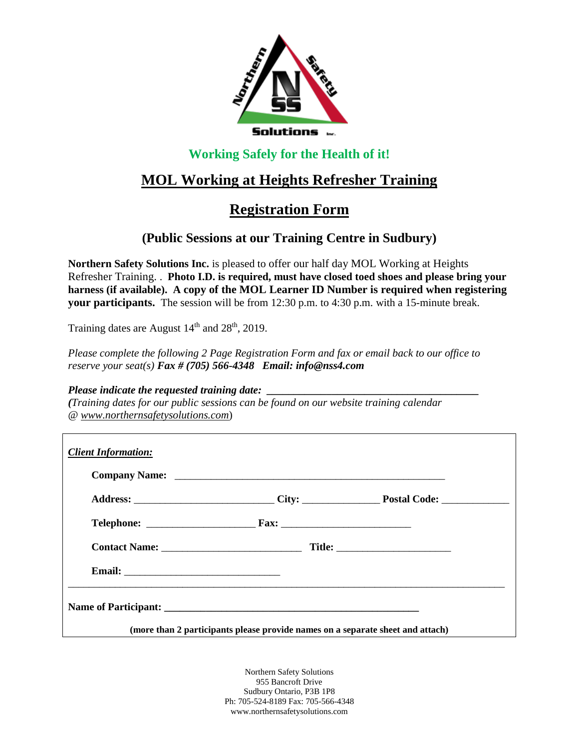

### **Working Safely for the Health of it!**

# **MOL Working at Heights Refresher Training**

## **Registration Form**

### **(Public Sessions at our Training Centre in Sudbury)**

**Northern Safety Solutions Inc.** is pleased to offer our half day MOL Working at Heights Refresher Training. . **Photo I.D. is required, must have closed toed shoes and please bring your harness (if available). A copy of the MOL Learner ID Number is required when registering your participants.** The session will be from 12:30 p.m. to 4:30 p.m. with a 15-minute break.

Training dates are August  $14<sup>th</sup>$  and  $28<sup>th</sup>$ , 2019.

*Please complete the following 2 Page Registration Form and fax or email back to our office to reserve your seat(s) Fax # (705) 566-4348 Email: info@nss4.com*

#### *Please indicate the requested training date:*

*(Training dates for our public sessions can be found on our website training calendar @ www.northernsafetysolutions.com*)

| <b>Client Information:</b>                                                     |  |  |
|--------------------------------------------------------------------------------|--|--|
|                                                                                |  |  |
|                                                                                |  |  |
|                                                                                |  |  |
|                                                                                |  |  |
|                                                                                |  |  |
|                                                                                |  |  |
| (more than 2 participants please provide names on a separate sheet and attach) |  |  |

Northern Safety Solutions 955 Bancroft Drive Sudbury Ontario, P3B 1P8 Ph: 705-524-8189 Fax: 705-566-4348 www.northernsafetysolutions.com